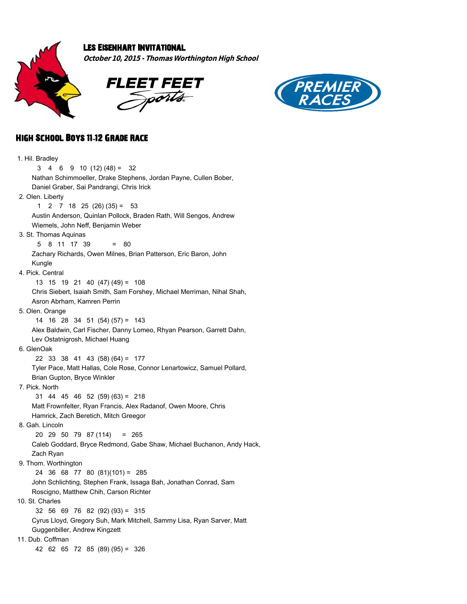

## Les Eisenhart Invitational

**October 10, 2015 - Thomas Worthington High School**





## High School Boys 11**-**12 Grade Race

| 1. Hil. Bradley                                                         |
|-------------------------------------------------------------------------|
| 3<br>4 6 9 10 (12) (48) = 32                                            |
| Nathan Schimmoeller, Drake Stephens, Jordan Payne, Cullen Bober,        |
| Daniel Graber, Sai Pandrangi, Chris Irick                               |
| 2. Olen. Liberty                                                        |
| $2 \t 7 \t 18 \t 25 \t (26) \t (35) = \t 53$<br>1                       |
| Austin Anderson, Quinlan Pollock, Braden Rath, Will Sengos, Andrew      |
| Wiemels, John Neff, Benjamin Weber                                      |
| 3. St. Thomas Aquinas                                                   |
| 5<br>8 11 17 39<br>80<br>Ξ                                              |
| Zachary Richards, Owen Milnes, Brian Patterson, Eric Baron, John        |
| Kungle                                                                  |
| 4. Pick. Central                                                        |
| 13 15 19 21 40 (47) (49) = 108                                          |
| Chris Siebert, Isaiah Smith, Sam Forshey, Michael Merriman, Nihal Shah, |
| Asron Abrham, Kamren Perrin                                             |
| 5. Olen. Orange                                                         |
| 14 16 28 34 51 (54) (57) = 143                                          |
| Alex Baldwin, Carl Fischer, Danny Lomeo, Rhyan Pearson, Garrett Dahn,   |
| Lev Ostatnigrosh, Michael Huang                                         |
| 6. GlenOak                                                              |
| $22$ 33 38 41 43 (58) (64) = 177                                        |
| Tyler Pace, Matt Hallas, Cole Rose, Connor Lenartowicz, Samuel Pollard, |
| Brian Gupton, Bryce Winkler                                             |
| 7. Pick. North                                                          |
| $31$ 44 45 46 52 (59) (63) = 218                                        |
| Matt Frownfelter, Ryan Francis, Alex Radanof, Owen Moore, Chris         |
| Hamrick, Zach Beretich, Mitch Greegor                                   |
| 8. Gah. Lincoln                                                         |
| 20 29 50 79 87 (114) = 265                                              |
| Caleb Goddard, Bryce Redmond, Gabe Shaw, Michael Buchanon, Andy Hack,   |
| Zach Ryan                                                               |
| 9. Thom. Worthington                                                    |
| 24 36 68 77 80 (81)(101) = 285                                          |
| John Schlichting, Stephen Frank, Issaga Bah, Jonathan Conrad, Sam       |
| Roscigno, Matthew Chih, Carson Richter                                  |
| 10. St. Charles                                                         |
| 32 56 69 76 82 (92) (93) = 315                                          |
| Cyrus Lloyd, Gregory Suh, Mark Mitchell, Sammy Lisa, Ryan Sarver, Matt  |
| Guggenbiller, Andrew Kingzett                                           |
| 11. Dub. Coffman                                                        |
| 42 62 65 72 85 (89) (95) = 326                                          |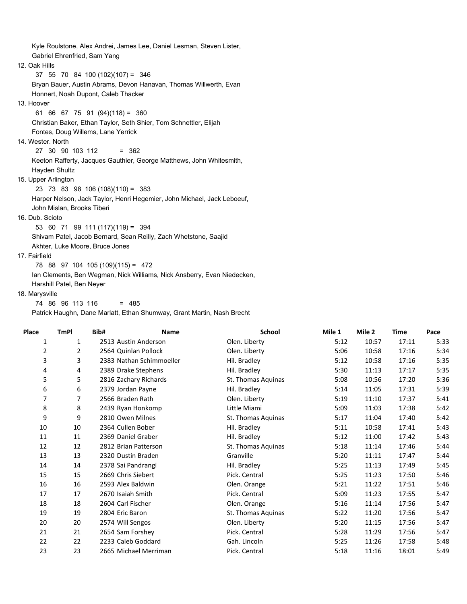Kyle Roulstone, Alex Andrei, James Lee, Daniel Lesman, Steven Lister, Gabriel Ehrenfried, Sam Yang 12. Oak Hills 37 55 70 84 100 (102)(107) = 346 Bryan Bauer, Austin Abrams, Devon Hanavan, Thomas Willwerth, Evan Honnert, Noah Dupont, Caleb Thacker 13. Hoover 61 66 67 75 91 (94)(118) = 360 Christian Baker, Ethan Taylor, Seth Shier, Tom Schnettler, Elijah Fontes, Doug Willems, Lane Yerrick 14. Wester. North 27 30 90 103 112 = 362 Keeton Rafferty, Jacques Gauthier, George Matthews, John Whitesmith, Hayden Shultz 15. Upper Arlington 23 73 83 98 106 (108)(110) = 383 Harper Nelson, Jack Taylor, Henri Hegemier, John Michael, Jack Leboeuf, John Mislan, Brooks Tiberi 16. Dub. Scioto 53 60 71 99 111 (117)(119) = 394 Shivam Patel, Jacob Bernard, Sean Reilly, Zach Whetstone, Saajid Akhter, Luke Moore, Bruce Jones 17. Fairfield 78 88 97 104 105 (109)(115) = 472

Ian Clements, Ben Wegman, Nick Williams, Nick Ansberry, Evan Niedecken,

Harshill Patel, Ben Neyer

## 18. Marysville

74 86 96 113 116 = 485

Patrick Haughn, Dane Marlatt, Ethan Shumway, Grant Martin, Nash Brecht

| Place | <b>TmPI</b> | Bib# | <b>Name</b>              | <b>School</b>      | Mile 1 | Mile 2 | <b>Time</b> | Pace |
|-------|-------------|------|--------------------------|--------------------|--------|--------|-------------|------|
| 1     | 1           |      | 2513 Austin Anderson     | Olen. Liberty      | 5:12   | 10:57  | 17:11       | 5:33 |
| 2     | 2           |      | 2564 Quinlan Pollock     | Olen. Liberty      | 5:06   | 10:58  | 17:16       | 5:34 |
| 3     | 3           |      | 2383 Nathan Schimmoeller | Hil. Bradley       | 5:12   | 10:58  | 17:16       | 5:35 |
| 4     | 4           |      | 2389 Drake Stephens      | Hil. Bradley       | 5:30   | 11:13  | 17:17       | 5:35 |
| 5     | 5           |      | 2816 Zachary Richards    | St. Thomas Aquinas | 5:08   | 10:56  | 17:20       | 5:36 |
| 6     | 6           |      | 2379 Jordan Payne        | Hil. Bradley       | 5:14   | 11:05  | 17:31       | 5:39 |
| 7     | 7           |      | 2566 Braden Rath         | Olen. Liberty      | 5:19   | 11:10  | 17:37       | 5:41 |
| 8     | 8           |      | 2439 Ryan Honkomp        | Little Miami       | 5:09   | 11:03  | 17:38       | 5:42 |
| 9     | 9           |      | 2810 Owen Milnes         | St. Thomas Aquinas | 5:17   | 11:04  | 17:40       | 5:42 |
| 10    | 10          |      | 2364 Cullen Bober        | Hil. Bradley       | 5:11   | 10:58  | 17:41       | 5:43 |
| 11    | 11          |      | 2369 Daniel Graber       | Hil. Bradley       | 5:12   | 11:00  | 17:42       | 5:43 |
| 12    | 12          |      | 2812 Brian Patterson     | St. Thomas Aquinas | 5:18   | 11:14  | 17:46       | 5:44 |
| 13    | 13          |      | 2320 Dustin Braden       | Granville          | 5:20   | 11:11  | 17:47       | 5:44 |
| 14    | 14          |      | 2378 Sai Pandrangi       | Hil. Bradley       | 5:25   | 11:13  | 17:49       | 5:45 |
| 15    | 15          |      | 2669 Chris Siebert       | Pick. Central      | 5:25   | 11:23  | 17:50       | 5:46 |
| 16    | 16          |      | 2593 Alex Baldwin        | Olen. Orange       | 5:21   | 11:22  | 17:51       | 5:46 |
| 17    | 17          |      | 2670 Isaiah Smith        | Pick. Central      | 5:09   | 11:23  | 17:55       | 5:47 |
| 18    | 18          |      | 2604 Carl Fischer        | Olen. Orange       | 5:16   | 11:14  | 17:56       | 5:47 |
| 19    | 19          |      | 2804 Eric Baron          | St. Thomas Aguinas | 5:22   | 11:20  | 17:56       | 5:47 |
| 20    | 20          |      | 2574 Will Sengos         | Olen. Liberty      | 5:20   | 11:15  | 17:56       | 5:47 |
| 21    | 21          |      | 2654 Sam Forshey         | Pick. Central      | 5:28   | 11:29  | 17:56       | 5:47 |
| 22    | 22          |      | 2233 Caleb Goddard       | Gah. Lincoln       | 5:25   | 11:26  | 17:58       | 5:48 |
| 23    | 23          |      | 2665 Michael Merriman    | Pick. Central      | 5:18   | 11:16  | 18:01       | 5:49 |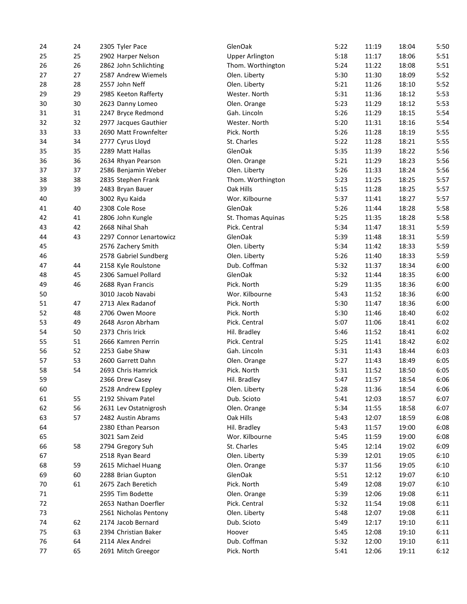| 24 | 24 | 2305 Tyler Pace                       | GlenOak                | 5:22         | 11:19 | 18:04 | 5:50 |
|----|----|---------------------------------------|------------------------|--------------|-------|-------|------|
| 25 | 25 | 2902 Harper Nelson                    | <b>Upper Arlington</b> | 5:18         | 11:17 | 18:06 | 5:51 |
| 26 | 26 | 2862 John Schlichting                 | Thom. Worthington      | 5:24         | 11:22 | 18:08 | 5:51 |
| 27 | 27 | 2587 Andrew Wiemels                   | Olen. Liberty          | 5:30         | 11:30 | 18:09 | 5:52 |
| 28 | 28 | 2557 John Neff                        | Olen. Liberty          | 5:21         | 11:26 | 18:10 | 5:52 |
| 29 | 29 | 2985 Keeton Rafferty                  | Wester. North          | 5:31         | 11:36 | 18:12 | 5:53 |
| 30 | 30 | 2623 Danny Lomeo                      | Olen. Orange           | 5:23         | 11:29 | 18:12 | 5:53 |
| 31 | 31 | 2247 Bryce Redmond                    | Gah. Lincoln           | 5:26         | 11:29 | 18:15 | 5:54 |
| 32 | 32 | 2977 Jacques Gauthier                 | Wester. North          | 5:20         | 11:31 | 18:16 | 5:54 |
| 33 | 33 | 2690 Matt Frownfelter                 | Pick. North            | 5:26         | 11:28 | 18:19 | 5:55 |
| 34 | 34 | 2777 Cyrus Lloyd                      | St. Charles            | 5:22         | 11:28 | 18:21 | 5:55 |
| 35 | 35 | 2289 Matt Hallas                      | GlenOak                | 5:35         | 11:39 | 18:22 | 5:56 |
| 36 | 36 | 2634 Rhyan Pearson                    | Olen. Orange           | 5:21         | 11:29 | 18:23 | 5:56 |
| 37 | 37 | 2586 Benjamin Weber                   | Olen. Liberty          | 5:26         | 11:33 | 18:24 | 5:56 |
| 38 | 38 | 2835 Stephen Frank                    | Thom. Worthington      | 5:23         | 11:25 | 18:25 | 5:57 |
| 39 | 39 | 2483 Bryan Bauer                      | Oak Hills              | 5:15         | 11:28 | 18:25 | 5:57 |
| 40 |    | 3002 Ryu Kaida                        | Wor. Kilbourne         | 5:37         | 11:41 | 18:27 | 5:57 |
| 41 | 40 | 2308 Cole Rose                        | GlenOak                | 5:26         | 11:44 | 18:28 | 5:58 |
| 42 | 41 | 2806 John Kungle                      | St. Thomas Aquinas     | 5:25         | 11:35 | 18:28 | 5:58 |
| 43 | 42 | 2668 Nihal Shah                       | Pick. Central          | 5:34         | 11:47 | 18:31 | 5:59 |
| 44 | 43 | 2297 Connor Lenartowicz               | GlenOak                | 5:39         | 11:48 | 18:31 | 5:59 |
| 45 |    | 2576 Zachery Smith                    | Olen. Liberty          | 5:34         | 11:42 | 18:33 | 5:59 |
| 46 |    | 2578 Gabriel Sundberg                 | Olen. Liberty          | 5:26         | 11:40 | 18:33 | 5:59 |
| 47 | 44 | 2158 Kyle Roulstone                   | Dub. Coffman           | 5:32         | 11:37 | 18:34 | 6:00 |
| 48 | 45 | 2306 Samuel Pollard                   | GlenOak                | 5:32         | 11:44 | 18:35 | 6:00 |
| 49 | 46 | 2688 Ryan Francis                     | Pick. North            | 5:29         | 11:35 | 18:36 | 6:00 |
| 50 |    | 3010 Jacob Navabi                     | Wor. Kilbourne         | 5:43         | 11:52 | 18:36 | 6:00 |
|    |    | 2713 Alex Radanof                     |                        |              |       | 18:36 | 6:00 |
| 51 | 47 |                                       | Pick. North            | 5:30         | 11:47 | 18:40 | 6:02 |
| 52 | 48 | 2706 Owen Moore                       | Pick. North            | 5:30<br>5:07 | 11:46 | 18:41 | 6:02 |
| 53 | 49 | 2648 Asron Abrham<br>2373 Chris Irick | Pick. Central          |              | 11:06 |       | 6:02 |
| 54 | 50 |                                       | Hil. Bradley           | 5:46         | 11:52 | 18:41 |      |
| 55 | 51 | 2666 Kamren Perrin                    | Pick. Central          | 5:25         | 11:41 | 18:42 | 6:02 |
| 56 | 52 | 2253 Gabe Shaw                        | Gah. Lincoln           | 5:31         | 11:43 | 18:44 | 6:03 |
| 57 | 53 | 2600 Garrett Dahn                     | Olen. Orange           | 5:27         | 11:43 | 18:49 | 6:05 |
| 58 | 54 | 2693 Chris Hamrick                    | Pick. North            | 5:31         | 11:52 | 18:50 | 6:05 |
| 59 |    | 2366 Drew Casey                       | Hil. Bradley           | 5:47         | 11:57 | 18:54 | 6:06 |
| 60 |    | 2528 Andrew Eppley                    | Olen. Liberty          | 5:28         | 11:36 | 18:54 | 6:06 |
| 61 | 55 | 2192 Shivam Patel                     | Dub. Scioto            | 5:41         | 12:03 | 18:57 | 6:07 |
| 62 | 56 | 2631 Lev Ostatnigrosh                 | Olen. Orange           | 5:34         | 11:55 | 18:58 | 6:07 |
| 63 | 57 | 2482 Austin Abrams                    | Oak Hills              | 5:43         | 12:07 | 18:59 | 6:08 |
| 64 |    | 2380 Ethan Pearson                    | Hil. Bradley           | 5:43         | 11:57 | 19:00 | 6:08 |
| 65 |    | 3021 Sam Zeid                         | Wor. Kilbourne         | 5:45         | 11:59 | 19:00 | 6:08 |
| 66 | 58 | 2794 Gregory Suh                      | St. Charles            | 5:45         | 12:14 | 19:02 | 6:09 |
| 67 |    | 2518 Ryan Beard                       | Olen. Liberty          | 5:39         | 12:01 | 19:05 | 6:10 |
| 68 | 59 | 2615 Michael Huang                    | Olen. Orange           | 5:37         | 11:56 | 19:05 | 6:10 |
| 69 | 60 | 2288 Brian Gupton                     | GlenOak                | 5:51         | 12:12 | 19:07 | 6:10 |
| 70 | 61 | 2675 Zach Beretich                    | Pick. North            | 5:49         | 12:08 | 19:07 | 6:10 |
| 71 |    | 2595 Tim Bodette                      | Olen. Orange           | 5:39         | 12:06 | 19:08 | 6:11 |
| 72 |    | 2653 Nathan Doerfler                  | Pick. Central          | 5:32         | 11:54 | 19:08 | 6:11 |
| 73 |    | 2561 Nicholas Pentony                 | Olen. Liberty          | 5:48         | 12:07 | 19:08 | 6:11 |
| 74 | 62 | 2174 Jacob Bernard                    | Dub. Scioto            | 5:49         | 12:17 | 19:10 | 6:11 |
| 75 | 63 | 2394 Christian Baker                  | Hoover                 | 5:45         | 12:08 | 19:10 | 6:11 |
| 76 | 64 | 2114 Alex Andrei                      | Dub. Coffman           | 5:32         | 12:00 | 19:10 | 6:11 |
| 77 | 65 | 2691 Mitch Greegor                    | Pick. North            | 5:41         | 12:06 | 19:11 | 6:12 |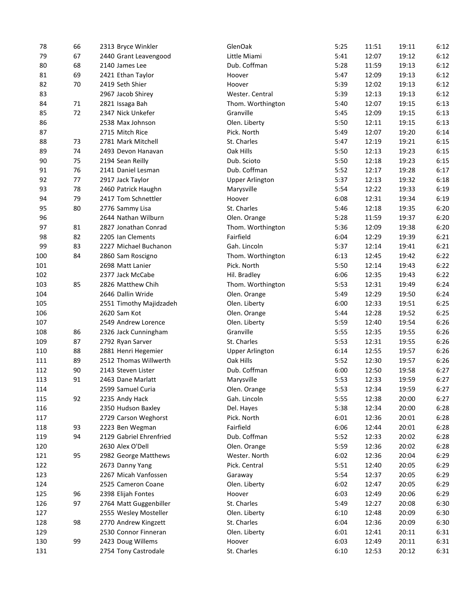| 78  | 66 | 2313 Bryce Winkler      | GlenOak                | 5:25 | 11:51 | 19:11 | 6:12 |
|-----|----|-------------------------|------------------------|------|-------|-------|------|
| 79  | 67 | 2440 Grant Leavengood   | Little Miami           | 5:41 | 12:07 | 19:12 | 6:12 |
| 80  | 68 | 2140 James Lee          | Dub. Coffman           | 5:28 | 11:59 | 19:13 | 6:12 |
| 81  | 69 | 2421 Ethan Taylor       | Hoover                 | 5:47 | 12:09 | 19:13 | 6:12 |
| 82  | 70 | 2419 Seth Shier         | Hoover                 | 5:39 | 12:02 | 19:13 | 6:12 |
| 83  |    | 2967 Jacob Shirey       | Wester. Central        | 5:39 | 12:13 | 19:13 | 6:12 |
| 84  | 71 | 2821 Issaga Bah         | Thom. Worthington      | 5:40 | 12:07 | 19:15 | 6:13 |
| 85  | 72 | 2347 Nick Unkefer       | Granville              | 5:45 | 12:09 | 19:15 | 6:13 |
| 86  |    | 2538 Max Johnson        | Olen. Liberty          | 5:50 | 12:11 | 19:15 | 6:13 |
| 87  |    | 2715 Mitch Rice         | Pick. North            | 5:49 | 12:07 | 19:20 | 6:14 |
| 88  | 73 | 2781 Mark Mitchell      | St. Charles            | 5:47 | 12:19 | 19:21 | 6:15 |
| 89  | 74 | 2493 Devon Hanavan      | Oak Hills              | 5:50 | 12:13 | 19:23 | 6:15 |
| 90  | 75 | 2194 Sean Reilly        | Dub. Scioto            | 5:50 | 12:18 | 19:23 | 6:15 |
| 91  | 76 | 2141 Daniel Lesman      | Dub. Coffman           | 5:52 | 12:17 | 19:28 | 6:17 |
| 92  | 77 | 2917 Jack Taylor        | <b>Upper Arlington</b> | 5:37 | 12:13 | 19:32 | 6:18 |
| 93  | 78 | 2460 Patrick Haughn     | Marysville             | 5:54 | 12:22 | 19:33 | 6:19 |
| 94  | 79 | 2417 Tom Schnettler     | Hoover                 | 6:08 | 12:31 | 19:34 | 6:19 |
| 95  | 80 | 2776 Sammy Lisa         | St. Charles            | 5:46 | 12:18 | 19:35 | 6:20 |
| 96  |    | 2644 Nathan Wilburn     | Olen. Orange           | 5:28 | 11:59 | 19:37 | 6:20 |
| 97  | 81 | 2827 Jonathan Conrad    | Thom. Worthington      | 5:36 | 12:09 | 19:38 | 6:20 |
| 98  | 82 | 2205 Ian Clements       | Fairfield              | 6:04 | 12:29 | 19:39 | 6:21 |
| 99  | 83 | 2227 Michael Buchanon   | Gah. Lincoln           | 5:37 | 12:14 | 19:41 | 6:21 |
| 100 | 84 | 2860 Sam Roscigno       | Thom. Worthington      | 6:13 | 12:45 | 19:42 | 6:22 |
| 101 |    | 2698 Matt Lanier        | Pick. North            | 5:50 | 12:14 | 19:43 | 6:22 |
| 102 |    | 2377 Jack McCabe        | Hil. Bradley           | 6:06 | 12:35 | 19:43 | 6:22 |
| 103 | 85 | 2826 Matthew Chih       | Thom. Worthington      | 5:53 | 12:31 | 19:49 | 6:24 |
| 104 |    | 2646 Dallin Wride       | Olen. Orange           | 5:49 | 12:29 | 19:50 | 6:24 |
| 105 |    | 2551 Timothy Majidzadeh | Olen. Liberty          | 6:00 | 12:33 | 19:51 | 6:25 |
| 106 |    | 2620 Sam Kot            | Olen. Orange           | 5:44 | 12:28 | 19:52 | 6:25 |
| 107 |    | 2549 Andrew Lorence     | Olen. Liberty          | 5:59 | 12:40 | 19:54 | 6:26 |
| 108 | 86 | 2326 Jack Cunningham    | Granville              | 5:55 | 12:35 | 19:55 | 6:26 |
| 109 | 87 | 2792 Ryan Sarver        | St. Charles            | 5:53 | 12:31 | 19:55 | 6:26 |
| 110 | 88 | 2881 Henri Hegemier     | <b>Upper Arlington</b> | 6:14 | 12:55 | 19:57 | 6:26 |
| 111 | 89 | 2512 Thomas Willwerth   | Oak Hills              | 5:52 | 12:30 | 19:57 | 6:26 |
| 112 | 90 | 2143 Steven Lister      | Dub. Coffman           | 6:00 | 12:50 | 19:58 | 6:27 |
| 113 | 91 | 2463 Dane Marlatt       | Marysville             | 5:53 | 12:33 | 19:59 | 6:27 |
| 114 |    | 2599 Samuel Curia       | Olen. Orange           | 5:53 | 12:34 | 19:59 | 6:27 |
| 115 | 92 | 2235 Andy Hack          | Gah. Lincoln           | 5:55 | 12:38 | 20:00 | 6:27 |
| 116 |    | 2350 Hudson Baxley      | Del. Hayes             | 5:38 | 12:34 | 20:00 | 6:28 |
| 117 |    | 2729 Carson Weghorst    | Pick. North            | 6:01 | 12:36 | 20:01 | 6:28 |
| 118 | 93 | 2223 Ben Wegman         | Fairfield              | 6:06 | 12:44 | 20:01 | 6:28 |
| 119 | 94 | 2129 Gabriel Ehrenfried | Dub. Coffman           | 5:52 | 12:33 | 20:02 | 6:28 |
| 120 |    | 2630 Alex O'Dell        | Olen. Orange           | 5:59 | 12:36 | 20:02 | 6:28 |
| 121 | 95 | 2982 George Matthews    | Wester. North          | 6:02 | 12:36 | 20:04 | 6:29 |
| 122 |    | 2673 Danny Yang         | Pick. Central          | 5:51 | 12:40 | 20:05 | 6:29 |
| 123 |    | 2267 Micah Vanfossen    | Garaway                | 5:54 | 12:37 | 20:05 | 6:29 |
| 124 |    | 2525 Cameron Coane      | Olen. Liberty          | 6:02 | 12:47 | 20:05 | 6:29 |
| 125 | 96 | 2398 Elijah Fontes      | Hoover                 | 6:03 | 12:49 | 20:06 | 6:29 |
| 126 | 97 | 2764 Matt Guggenbiller  | St. Charles            | 5:49 | 12:27 | 20:08 | 6:30 |
| 127 |    | 2555 Wesley Mosteller   | Olen. Liberty          | 6:10 | 12:48 | 20:09 | 6:30 |
| 128 | 98 | 2770 Andrew Kingzett    | St. Charles            | 6:04 | 12:36 | 20:09 | 6:30 |
| 129 |    | 2530 Connor Finneran    | Olen. Liberty          | 6:01 | 12:41 | 20:11 | 6:31 |
| 130 | 99 | 2423 Doug Willems       | Hoover                 | 6:03 | 12:49 | 20:11 | 6:31 |
| 131 |    | 2754 Tony Castrodale    | St. Charles            | 6:10 | 12:53 | 20:12 | 6:31 |
|     |    |                         |                        |      |       |       |      |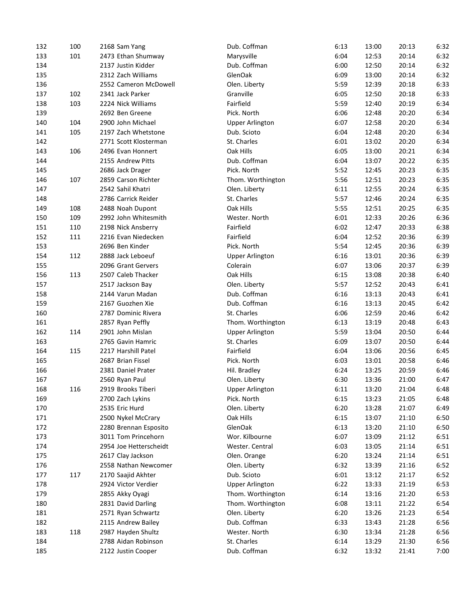| 132 | 100 | 2168 Sam Yang          | Dub. Coffman           | 6:13 | 13:00 | 20:13 | 6:32 |
|-----|-----|------------------------|------------------------|------|-------|-------|------|
| 133 | 101 | 2473 Ethan Shumway     | Marysville             | 6:04 | 12:53 | 20:14 | 6:32 |
| 134 |     | 2137 Justin Kidder     | Dub. Coffman           | 6:00 | 12:50 | 20:14 | 6:32 |
| 135 |     | 2312 Zach Williams     | GlenOak                | 6:09 | 13:00 | 20:14 | 6:32 |
| 136 |     | 2552 Cameron McDowell  | Olen. Liberty          | 5:59 | 12:39 | 20:18 | 6:33 |
| 137 | 102 | 2341 Jack Parker       | Granville              | 6:05 | 12:50 | 20:18 | 6:33 |
| 138 | 103 | 2224 Nick Williams     | Fairfield              | 5:59 | 12:40 | 20:19 | 6:34 |
| 139 |     | 2692 Ben Greene        | Pick. North            | 6:06 | 12:48 | 20:20 | 6:34 |
| 140 | 104 | 2900 John Michael      | <b>Upper Arlington</b> | 6:07 | 12:58 | 20:20 | 6:34 |
| 141 | 105 | 2197 Zach Whetstone    | Dub. Scioto            | 6:04 | 12:48 | 20:20 | 6:34 |
| 142 |     | 2771 Scott Klosterman  | St. Charles            | 6:01 | 13:02 | 20:20 | 6:34 |
| 143 | 106 | 2496 Evan Honnert      | Oak Hills              | 6:05 | 13:00 | 20:21 | 6:34 |
| 144 |     | 2155 Andrew Pitts      | Dub. Coffman           | 6:04 | 13:07 | 20:22 | 6:35 |
| 145 |     | 2686 Jack Drager       | Pick. North            | 5:52 | 12:45 | 20:23 | 6:35 |
| 146 | 107 | 2859 Carson Richter    | Thom. Worthington      | 5:56 | 12:51 | 20:23 | 6:35 |
| 147 |     | 2542 Sahil Khatri      | Olen. Liberty          | 6:11 | 12:55 | 20:24 | 6:35 |
| 148 |     | 2786 Carrick Reider    | St. Charles            | 5:57 | 12:46 | 20:24 | 6:35 |
| 149 | 108 | 2488 Noah Dupont       | Oak Hills              | 5:55 | 12:51 | 20:25 | 6:35 |
| 150 | 109 | 2992 John Whitesmith   | Wester. North          | 6:01 | 12:33 | 20:26 | 6:36 |
| 151 | 110 | 2198 Nick Ansberry     | Fairfield              | 6:02 | 12:47 | 20:33 | 6:38 |
| 152 | 111 | 2216 Evan Niedecken    | Fairfield              | 6:04 | 12:52 | 20:36 | 6:39 |
|     |     |                        | Pick. North            |      |       |       | 6:39 |
| 153 |     | 2696 Ben Kinder        |                        | 5:54 | 12:45 | 20:36 |      |
| 154 | 112 | 2888 Jack Leboeuf      | <b>Upper Arlington</b> | 6:16 | 13:01 | 20:36 | 6:39 |
| 155 |     | 2096 Grant Gervers     | Colerain               | 6:07 | 13:06 | 20:37 | 6:39 |
| 156 | 113 | 2507 Caleb Thacker     | Oak Hills              | 6:15 | 13:08 | 20:38 | 6:40 |
| 157 |     | 2517 Jackson Bay       | Olen. Liberty          | 5:57 | 12:52 | 20:43 | 6:41 |
| 158 |     | 2144 Varun Madan       | Dub. Coffman           | 6:16 | 13:13 | 20:43 | 6:41 |
| 159 |     | 2167 Guozhen Xie       | Dub. Coffman           | 6:16 | 13:13 | 20:45 | 6:42 |
| 160 |     | 2787 Dominic Rivera    | St. Charles            | 6:06 | 12:59 | 20:46 | 6:42 |
| 161 |     | 2857 Ryan Peffly       | Thom. Worthington      | 6:13 | 13:19 | 20:48 | 6:43 |
| 162 | 114 | 2901 John Mislan       | <b>Upper Arlington</b> | 5:59 | 13:04 | 20:50 | 6:44 |
| 163 |     | 2765 Gavin Hamric      | St. Charles            | 6:09 | 13:07 | 20:50 | 6:44 |
| 164 | 115 | 2217 Harshill Patel    | Fairfield              | 6:04 | 13:06 | 20:56 | 6:45 |
| 165 |     | 2687 Brian Fissel      | Pick. North            | 6:03 | 13:01 | 20:58 | 6:46 |
| 166 |     | 2381 Daniel Prater     | Hil. Bradley           | 6:24 | 13:25 | 20:59 | 6:46 |
| 167 |     | 2560 Ryan Paul         | Olen. Liberty          | 6:30 | 13:36 | 21:00 | 6:47 |
| 168 | 116 | 2919 Brooks Tiberi     | <b>Upper Arlington</b> | 6:11 | 13:20 | 21:04 | 6:48 |
| 169 |     | 2700 Zach Lykins       | Pick. North            | 6:15 | 13:23 | 21:05 | 6:48 |
| 170 |     | 2535 Eric Hurd         | Olen. Liberty          | 6:20 | 13:28 | 21:07 | 6:49 |
| 171 |     | 2500 Nykel McCrary     | Oak Hills              | 6:15 | 13:07 | 21:10 | 6:50 |
| 172 |     | 2280 Brennan Esposito  | GlenOak                | 6:13 | 13:20 | 21:10 | 6:50 |
| 173 |     | 3011 Tom Princehorn    | Wor. Kilbourne         | 6:07 | 13:09 | 21:12 | 6:51 |
| 174 |     | 2954 Joe Hetterscheidt | Wester. Central        | 6:03 | 13:05 | 21:14 | 6:51 |
| 175 |     | 2617 Clay Jackson      | Olen. Orange           | 6:20 | 13:24 | 21:14 | 6:51 |
| 176 |     | 2558 Nathan Newcomer   | Olen. Liberty          | 6:32 | 13:39 | 21:16 | 6:52 |
| 177 | 117 | 2170 Saajid Akhter     | Dub. Scioto            | 6:01 | 13:12 | 21:17 | 6:52 |
| 178 |     | 2924 Victor Verdier    | <b>Upper Arlington</b> | 6:22 | 13:33 | 21:19 | 6:53 |
| 179 |     | 2855 Akky Oyagi        | Thom. Worthington      | 6:14 | 13:16 | 21:20 | 6:53 |
| 180 |     | 2831 David Darling     | Thom. Worthington      | 6:08 | 13:11 | 21:22 | 6:54 |
| 181 |     | 2571 Ryan Schwartz     | Olen. Liberty          | 6:20 | 13:26 | 21:23 | 6:54 |
| 182 |     | 2115 Andrew Bailey     | Dub. Coffman           | 6:33 | 13:43 | 21:28 | 6:56 |
| 183 | 118 | 2987 Hayden Shultz     | Wester. North          | 6:30 | 13:34 | 21:28 | 6:56 |
| 184 |     | 2788 Aidan Robinson    | St. Charles            | 6:14 | 13:29 | 21:30 | 6:56 |
| 185 |     | 2122 Justin Cooper     | Dub. Coffman           | 6:32 | 13:32 | 21:41 | 7:00 |
|     |     |                        |                        |      |       |       |      |